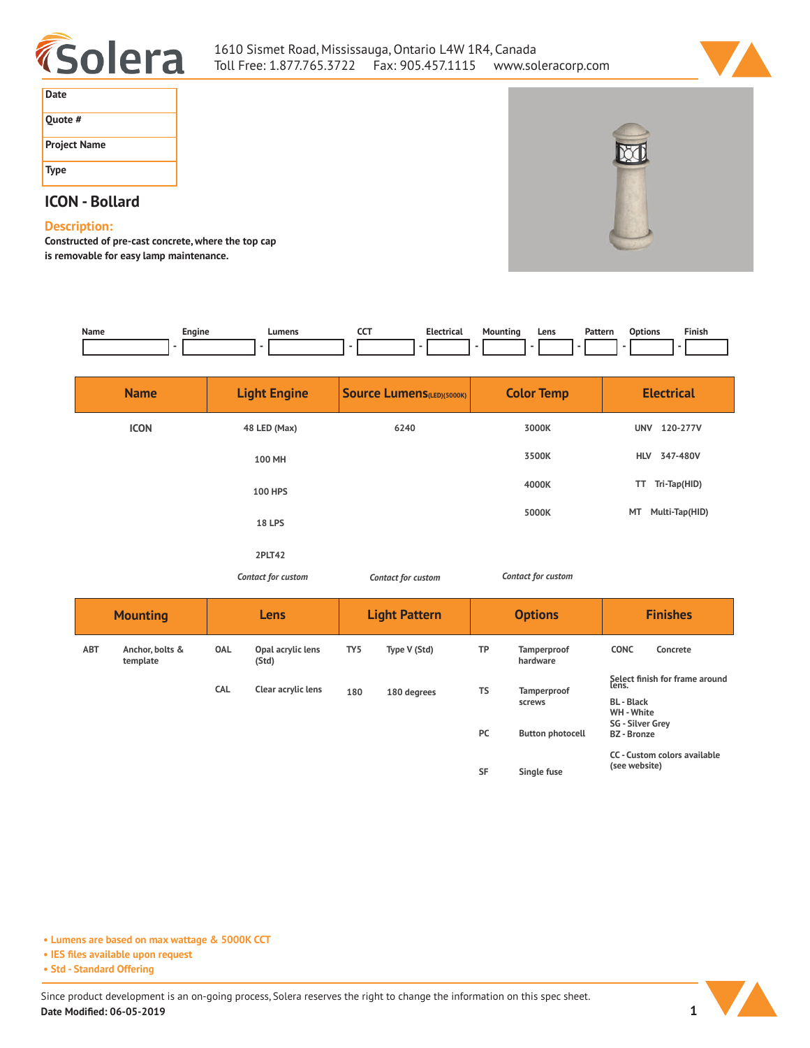



| Date                |  |
|---------------------|--|
| Quote #             |  |
| <b>Project Name</b> |  |
| <b>Type</b>         |  |

## **ICON - Bollard**

## **Description:**

**Constructed of pre-cast concrete, where the top cap is removable for easy lamp maintenance.** 

| Name            | Engine                      |                     | Lumens                       | <b>CCT</b><br>$\overline{a}$      | <b>Electrical</b>  | Mounting<br>$\overline{a}$ | Pattern<br>Lens<br>۰    | <b>Options</b>                                                                                                       | Finish                       |
|-----------------|-----------------------------|---------------------|------------------------------|-----------------------------------|--------------------|----------------------------|-------------------------|----------------------------------------------------------------------------------------------------------------------|------------------------------|
|                 | <b>Name</b>                 | <b>Light Engine</b> |                              | <b>Source Lumens</b> (LED)(5000K) |                    | <b>Color Temp</b>          |                         | <b>Electrical</b>                                                                                                    |                              |
| <b>ICON</b>     |                             | 48 LED (Max)        |                              | 6240                              |                    | 3000K                      |                         | UNV 120-277V                                                                                                         |                              |
|                 |                             |                     | 100 MH                       |                                   |                    |                            | 3500K                   | <b>HLV</b>                                                                                                           | 347-480V                     |
|                 |                             |                     | <b>100 HPS</b>               |                                   |                    |                            | 4000K                   |                                                                                                                      | TT Tri-Tap(HID)              |
|                 |                             |                     | <b>18 LPS</b>                |                                   |                    |                            | 5000K                   | MT                                                                                                                   | Multi-Tap(HID)               |
|                 |                             |                     | 2PLT42<br>Contact for custom |                                   | Contact for custom |                            | Contact for custom      |                                                                                                                      |                              |
| <b>Mounting</b> |                             | Lens                |                              | <b>Light Pattern</b>              |                    | <b>Options</b>             |                         | <b>Finishes</b>                                                                                                      |                              |
| ABT             | Anchor, bolts &<br>template | OAL                 | Opal acrylic lens<br>(Std)   | TY <sub>5</sub>                   | Type V (Std)       | TP                         | Tamperproof<br>hardware | <b>CONC</b>                                                                                                          | Concrete                     |
|                 |                             | CAL                 | Clear acrylic lens           | 180                               | 180 degrees        | <b>TS</b>                  | Tamperproof<br>screws   | Select finish for frame around<br>lens.<br><b>BL</b> - Black<br>WH - White<br>SG - Silver Grey<br><b>BZ</b> - Bronze |                              |
|                 |                             |                     |                              |                                   |                    | PC                         | <b>Button photocell</b> |                                                                                                                      |                              |
|                 |                             |                     |                              |                                   |                    | <b>SF</b>                  | Single fuse             | (see website)                                                                                                        | CC - Custom colors available |

**• Lumens are based on max wattage & 5000K CCT**

**• IES files available upon request**

**• Std - Standard Offering**